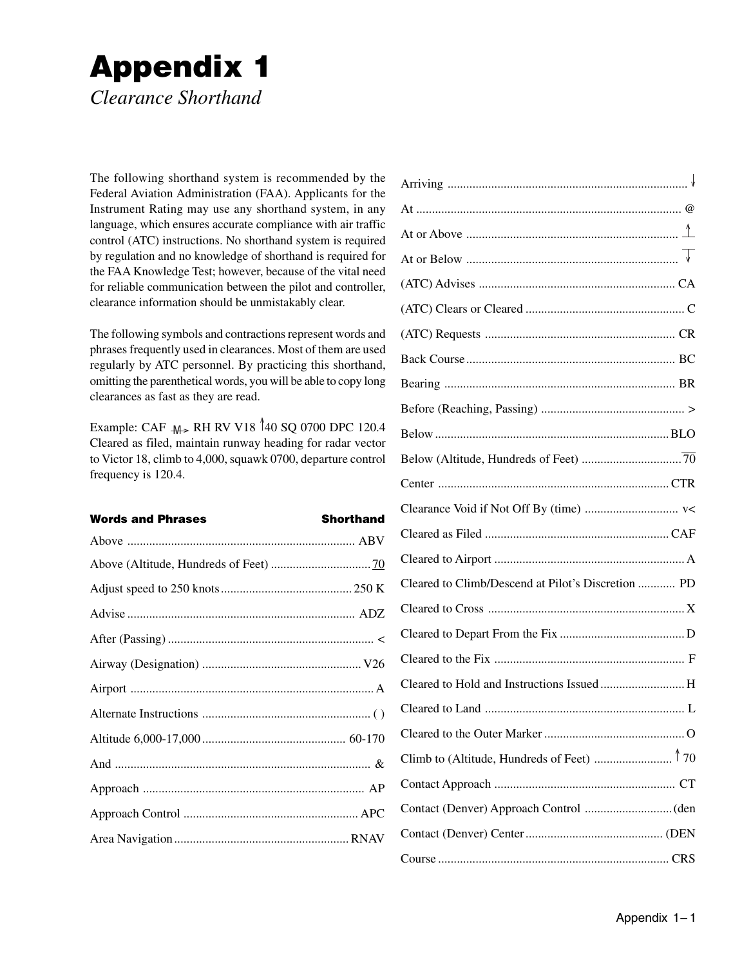## **Appendix 1**

*Clearance Shorthand*

The following shorthand system is recommended by the Federal Aviation Administration (FAA). Applicants for the Instrument Rating may use any shorthand system, in any language, which ensures accurate compliance with air traffic control (ATC) instructions. No shorthand system is required by regulation and no knowledge of shorthand is required for the FAA Knowledge Test; however, because of the vital need for reliable communication between the pilot and controller, clearance information should be unmistakably clear.

The following symbols and contractions represent words and phrases frequently used in clearances. Most of them are used regularly by ATC personnel. By practicing this shorthand, omitting the parenthetical words, you will be able to copy long clearances as fast as they are read.

Example: CAF  $M_{\geq}$  RH RV V18 40 SQ 0700 DPC 120.4 Cleared as filed, maintain runway heading for radar vector to Victor 18, climb to 4,000, squawk 0700, departure control frequency is 120.4.

| <b>Words and Phrases</b> | <b>Shorthand</b> |
|--------------------------|------------------|
|                          |                  |
|                          |                  |
|                          |                  |
|                          |                  |
|                          |                  |
|                          |                  |
|                          |                  |
|                          |                  |
|                          |                  |
|                          |                  |
|                          |                  |
|                          |                  |
|                          |                  |

| Cleared to Climb/Descend at Pilot's Discretion  PD |  |
|----------------------------------------------------|--|
|                                                    |  |
|                                                    |  |
|                                                    |  |
| Cleared to Hold and Instructions Issued  H         |  |
|                                                    |  |
|                                                    |  |
|                                                    |  |
|                                                    |  |
|                                                    |  |
|                                                    |  |
|                                                    |  |